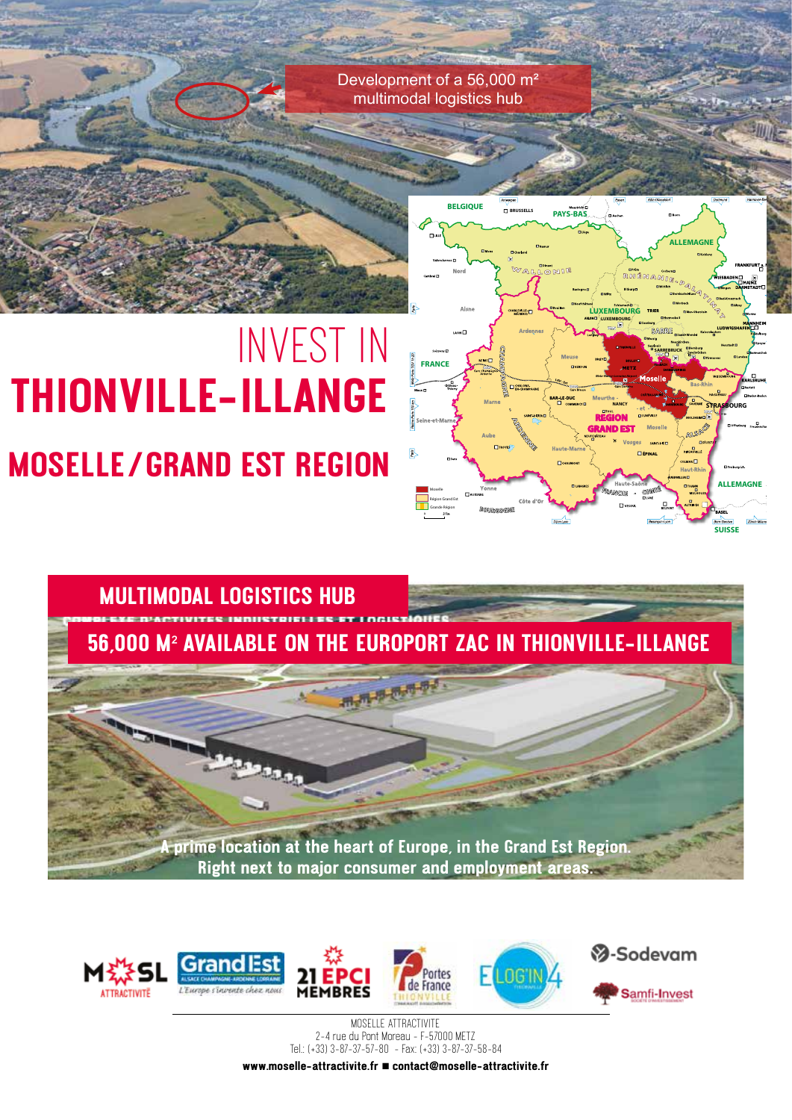Development of a 56,000 m² multimodal logistics hub

# INVEST IN **THIONVILLE-ILLANGE MOSELLE/GRAND EST REGION**







MOSELLE ATTRACTIVITE 2-4 rue du Pont Moreau - F-57000 METZ Tel.: (+33) 3-87-37-57-80 - Fax: (+33) 3-87-37-58-84

**www.moselle-attractivite.fr contact@moselle-attractivite.fr**